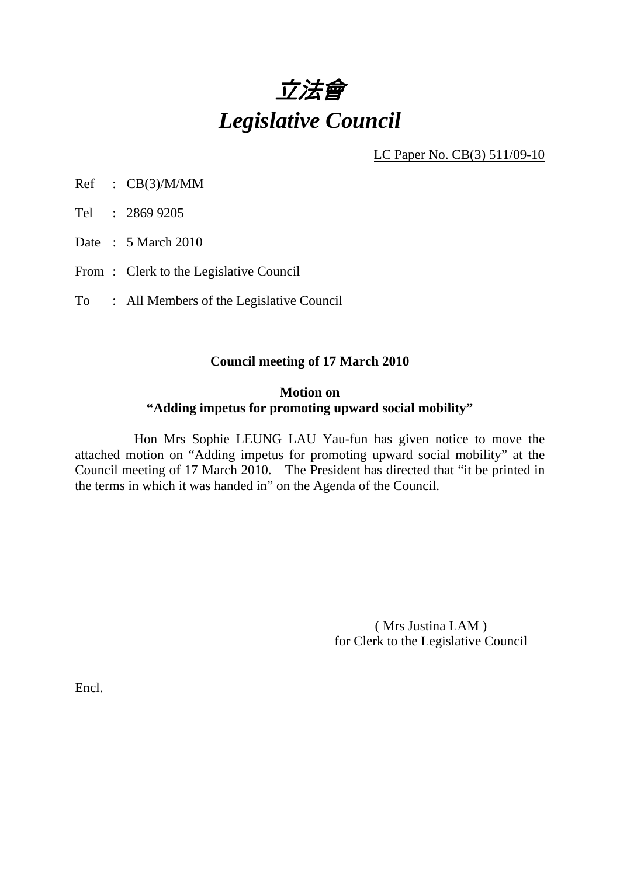

LC Paper No. CB(3) 511/09-10

Ref : CB(3)/M/MM

Tel : 2869 9205

Date : 5 March 2010

From: Clerk to the Legislative Council

To : All Members of the Legislative Council

#### **Council meeting of 17 March 2010**

### **Motion on "Adding impetus for promoting upward social mobility"**

 Hon Mrs Sophie LEUNG LAU Yau-fun has given notice to move the attached motion on "Adding impetus for promoting upward social mobility" at the Council meeting of 17 March 2010. The President has directed that "it be printed in the terms in which it was handed in" on the Agenda of the Council.

> ( Mrs Justina LAM ) for Clerk to the Legislative Council

Encl.